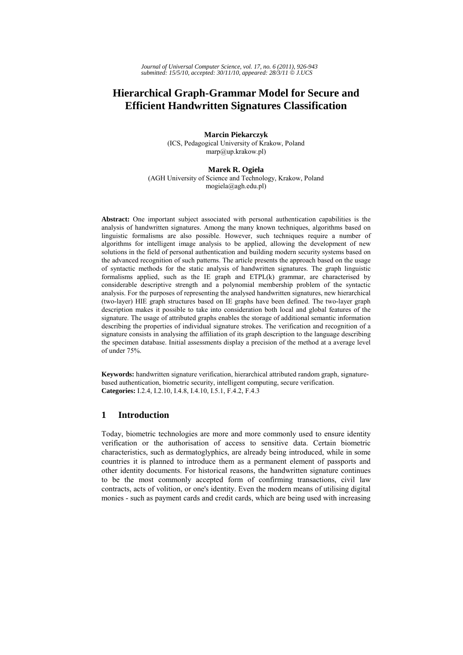# **Hierarchical Graph-Grammar Model for Secure and Efficient Handwritten Signatures Classification**

**Marcin Piekarczyk**  (ICS, Pedagogical University of Krakow, Poland marp@up.krakow.pl)

### **Marek R. Ogiela**

(AGH University of Science and Technology, Krakow, Poland mogiela@agh.edu.pl)

**Abstract:** One important subject associated with personal authentication capabilities is the analysis of handwritten signatures. Among the many known techniques, algorithms based on linguistic formalisms are also possible. However, such techniques require a number of algorithms for intelligent image analysis to be applied, allowing the development of new solutions in the field of personal authentication and building modern security systems based on the advanced recognition of such patterns. The article presents the approach based on the usage of syntactic methods for the static analysis of handwritten signatures. The graph linguistic formalisms applied, such as the IE graph and ETPL(k) grammar, are characterised by considerable descriptive strength and a polynomial membership problem of the syntactic analysis. For the purposes of representing the analysed handwritten signatures, new hierarchical (two-layer) HIE graph structures based on IE graphs have been defined. The two-layer graph description makes it possible to take into consideration both local and global features of the signature. The usage of attributed graphs enables the storage of additional semantic information describing the properties of individual signature strokes. The verification and recognition of a signature consists in analysing the affiliation of its graph description to the language describing the specimen database. Initial assessments display a precision of the method at a average level of under 75%.

**Keywords:** handwritten signature verification, hierarchical attributed random graph, signaturebased authentication, biometric security, intelligent computing, secure verification. **Categories:** I.2.4, I.2.10, I.4.8, I.4.10, I.5.1, F.4.2, F.4.3

# **1 Introduction**

Today, biometric technologies are more and more commonly used to ensure identity verification or the authorisation of access to sensitive data. Certain biometric characteristics, such as dermatoglyphics, are already being introduced, while in some countries it is planned to introduce them as a permanent element of passports and other identity documents. For historical reasons, the handwritten signature continues to be the most commonly accepted form of confirming transactions, civil law contracts, acts of volition, or one's identity. Even the modern means of utilising digital monies - such as payment cards and credit cards, which are being used with increasing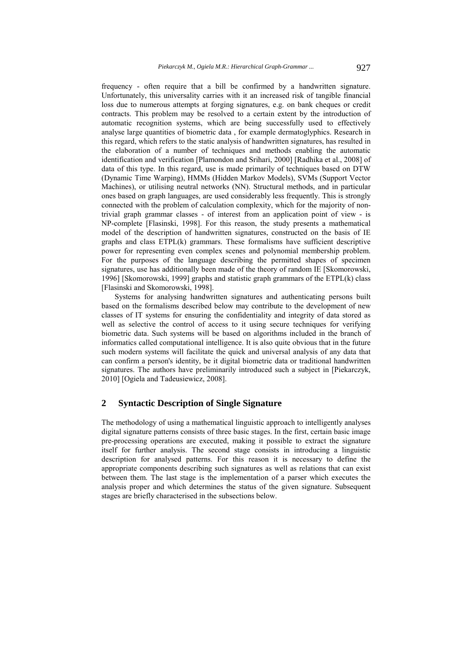frequency - often require that a bill be confirmed by a handwritten signature. Unfortunately, this universality carries with it an increased risk of tangible financial loss due to numerous attempts at forging signatures, e.g. on bank cheques or credit contracts. This problem may be resolved to a certain extent by the introduction of automatic recognition systems, which are being successfully used to effectively analyse large quantities of biometric data , for example dermatoglyphics. Research in this regard, which refers to the static analysis of handwritten signatures, has resulted in the elaboration of a number of techniques and methods enabling the automatic identification and verification [Plamondon and Srihari, 2000] [Radhika et al., 2008] of data of this type. In this regard, use is made primarily of techniques based on DTW (Dynamic Time Warping), HMMs (Hidden Markov Models), SVMs (Support Vector Machines), or utilising neutral networks (NN). Structural methods, and in particular ones based on graph languages, are used considerably less frequently. This is strongly connected with the problem of calculation complexity, which for the majority of nontrivial graph grammar classes - of interest from an application point of view - is NP-complete [Flasinski, 1998]. For this reason, the study presents a mathematical model of the description of handwritten signatures, constructed on the basis of IE graphs and class ETPL(k) grammars. These formalisms have sufficient descriptive power for representing even complex scenes and polynomial membership problem. For the purposes of the language describing the permitted shapes of specimen signatures, use has additionally been made of the theory of random IE [Skomorowski, 1996] [Skomorowski, 1999] graphs and statistic graph grammars of the ETPL(k) class [Flasinski and Skomorowski, 1998].

Systems for analysing handwritten signatures and authenticating persons built based on the formalisms described below may contribute to the development of new classes of IT systems for ensuring the confidentiality and integrity of data stored as well as selective the control of access to it using secure techniques for verifying biometric data. Such systems will be based on algorithms included in the branch of informatics called computational intelligence. It is also quite obvious that in the future such modern systems will facilitate the quick and universal analysis of any data that can confirm a person's identity, be it digital biometric data or traditional handwritten signatures. The authors have preliminarily introduced such a subject in [Piekarczyk, 2010] [Ogiela and Tadeusiewicz, 2008].

# **2 Syntactic Description of Single Signature**

The methodology of using a mathematical linguistic approach to intelligently analyses digital signature patterns consists of three basic stages. In the first, certain basic image pre-processing operations are executed, making it possible to extract the signature itself for further analysis. The second stage consists in introducing a linguistic description for analysed patterns. For this reason it is necessary to define the appropriate components describing such signatures as well as relations that can exist between them. The last stage is the implementation of a parser which executes the analysis proper and which determines the status of the given signature. Subsequent stages are briefly characterised in the subsections below.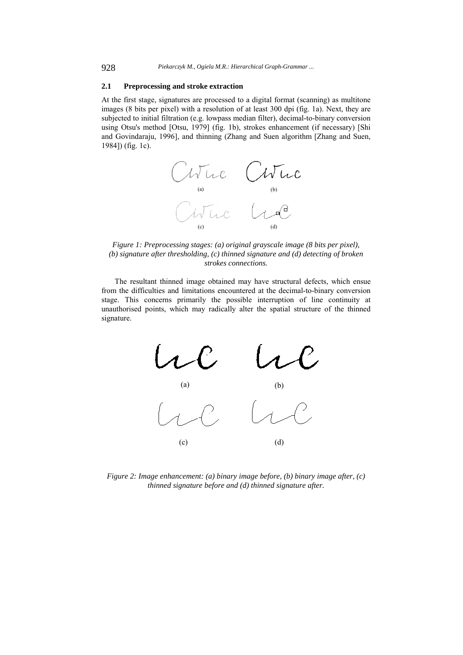#### **2.1 Preprocessing and stroke extraction**

At the first stage, signatures are processed to a digital format (scanning) as multitone images (8 bits per pixel) with a resolution of at least 300 dpi (fig. 1a). Next, they are subjected to initial filtration (e.g. lowpass median filter), decimal-to-binary conversion using Otsu's method [Otsu, 1979] (fig. 1b), strokes enhancement (if necessary) [Shi and Govindaraju, 1996], and thinning (Zhang and Suen algorithm [Zhang and Suen, 1984]) (fig. 1c).



*Figure 1: Preprocessing stages: (a) original grayscale image (8 bits per pixel), (b) signature after thresholding, (c) thinned signature and (d) detecting of broken strokes connections.* 

The resultant thinned image obtained may have structural defects, which ensue from the difficulties and limitations encountered at the decimal-to-binary conversion stage. This concerns primarily the possible interruption of line continuity at unauthorised points, which may radically alter the spatial structure of the thinned signature.



*Figure 2: Image enhancement: (a) binary image before, (b) binary image after, (c) thinned signature before and (d) thinned signature after.*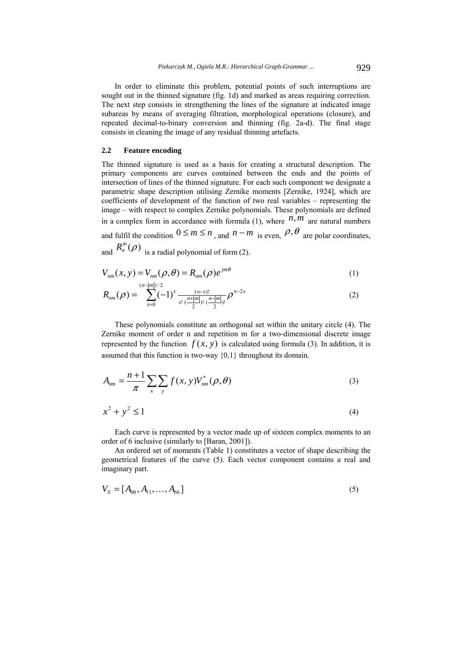In order to eliminate this problem, potential points of such interruptions are sought out in the thinned signature (fig. 1d) and marked as areas requiring correction. The next step consists in strengthening the lines of the signature at indicated image subareas by means of averaging filtration, morphological operations (closure), and repeated decimal-to-binary conversion and thinning (fig. 2a-d). The final stage consists in cleaning the image of any residual thinning artefacts.

### **2.2 Feature encoding**

The thinned signature is used as a basis for creating a structural description. The primary components are curves contained between the ends and the points of intersection of lines of the thinned signature. For each such component we designate a parametric shape description utilising Zernike moments [Zernike, 1924], which are coefficients of development of the function of two real variables – representing the image – with respect to complex Zernike polynomials. These polynomials are defined in a complex form in accordance with formula (1), where  $n, m$  are natural numbers and fulfil the condition  $0 \le m \le n$ , and  $n - m$  is even,  $\rho, \theta$  are polar coordinates, and  $R_n^m(\rho)$  is a radial polynomial of form (2).

$$
V_{nm}(x, y) = V_{nm}(\rho, \theta) = R_{nm}(\rho)e^{jm\theta}
$$
\n(1)

$$
R_{nm}(\rho) = \sum_{s=0}^{(n-|m|)/2} (-1)^s \frac{(n-s)!}{s! \left(\frac{n+|m|}{2}\right)! \left(\frac{n-|m|}{2}\right)!} \rho^{n-2s}
$$
(2)

These polynomials constitute an orthogonal set within the unitary circle (4). The Zernike moment of order n and repetition m for a two-dimensional discrete image represented by the function  $f(x, y)$  is calculated using formula (3). In addition, it is assumed that this function is two-way {0,1} throughout its domain.

$$
A_{nm} = \frac{n+1}{\pi} \sum_{x} \sum_{y} f(x, y) V_{nm}^*(\rho, \theta)
$$
 (3)

$$
x^2 + y^2 \le 1\tag{4}
$$

Each curve is represented by a vector made up of sixteen complex moments to an order of 6 inclusive (similarly to [Baran, 2001]).

An ordered set of moments (Table 1) constitutes a vector of shape describing the geometrical features of the curve (5). Each vector component contains a real and imaginary part.

$$
V_s = [A_{00}, A_{11}, \dots, A_{66}] \tag{5}
$$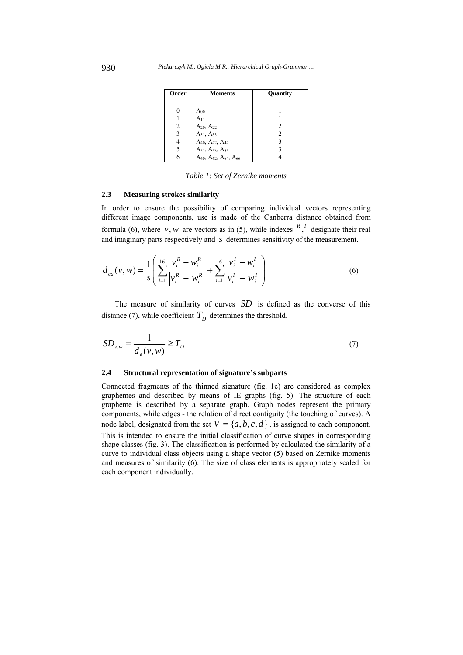| Order | <b>Moments</b>                                      | Quantity |
|-------|-----------------------------------------------------|----------|
|       | $A_{00}$                                            |          |
|       | $A_{11}$                                            |          |
|       | $A_{20}$ , $A_{22}$                                 |          |
|       | $A_{31}$ , $A_{33}$                                 |          |
|       | A <sub>40</sub> , A <sub>42</sub> , A <sub>44</sub> |          |
|       | $A_{51}$ , $A_{53}$ , $A_{55}$                      |          |
|       | $A_{60}$ , $A_{62}$ , $A_{64}$ , $A_{66}$           |          |

*Table 1: Set of Zernike moments* 

### **2.3 Measuring strokes similarity**

In order to ensure the possibility of comparing individual vectors representing different image components, use is made of the Canberra distance obtained from formula (6), where *v*, *w* are vectors as in (5), while indexes  $\binom{R}{l}$  designate their real and imaginary parts respectively and *s* determines sensitivity of the measurement.

$$
d_{ca}(v, w) = \frac{1}{s} \left( \sum_{i=1}^{16} \frac{|v_i^R - w_i^R|}{|v_i^R| - |w_i^R|} + \sum_{i=1}^{16} \frac{|v_i^I - w_i^I|}{|v_i^I| - |w_i^I|} \right)
$$
(6)

The measure of similarity of curves *SD* is defined as the converse of this distance (7), while coefficient  $T_D$  determines the threshold.

$$
SD_{v,w} = \frac{1}{d_e(v,w)} \ge T_D
$$
\n(7)

#### **2.4 Structural representation of signature's subparts**

Connected fragments of the thinned signature (fig. 1c) are considered as complex graphemes and described by means of IE graphs (fig. 5). The structure of each grapheme is described by a separate graph. Graph nodes represent the primary components, while edges - the relation of direct contiguity (the touching of curves). A node label, designated from the set  $V = \{a, b, c, d\}$ , is assigned to each component. This is intended to ensure the initial classification of curve shapes in corresponding shape classes (fig. 3). The classification is performed by calculated the similarity of a curve to individual class objects using a shape vector (5) based on Zernike moments and measures of similarity (6). The size of class elements is appropriately scaled for each component individually.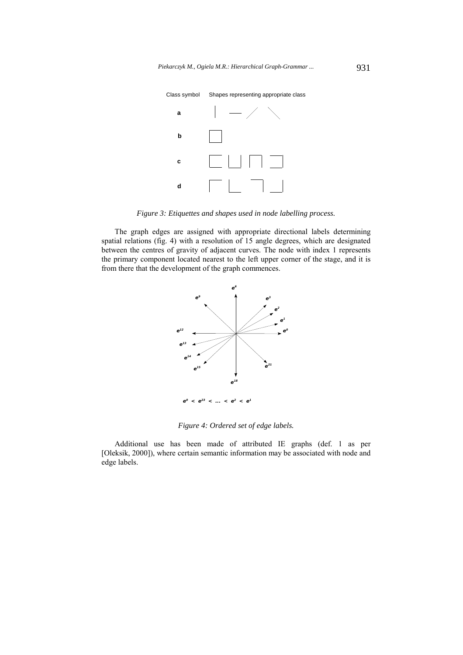Piekarczyk M., Ogiela M.R.: Hierarchical Graph-Grammar ... 931



Class symbol Shapes representing appropriate class

*Figure 3: Etiquettes and shapes used in node labelling process.* 

The graph edges are assigned with appropriate directional labels determining spatial relations (fig. 4) with a resolution of 15 angle degrees, which are designated between the centres of gravity of adjacent curves. The node with index 1 represents the primary component located nearest to the left upper corner of the stage, and it is from there that the development of the graph commences.



*Figure 4: Ordered set of edge labels.* 

Additional use has been made of attributed IE graphs (def. 1 as per [Oleksik, 2000]), where certain semantic information may be associated with node and edge labels.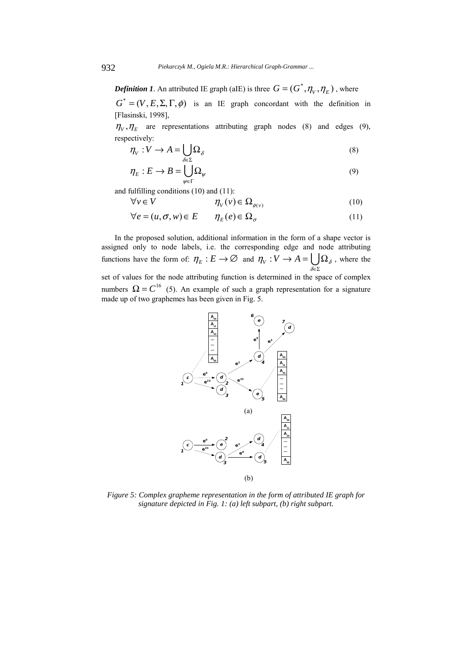*Definition 1*. An attributed IE graph (aIE) is three  $G = (G^*, \eta_V, \eta_F)$ , where

 $G^* = (V, E, \Sigma, \Gamma, \phi)$  is an IE graph concordant with the definition in [Flasinski, 1998],

 $\eta_V$ ,  $\eta_E$  are representations attributing graph nodes (8) and edges (9), respectively:

$$
\eta_V: V \to A = \bigcup_{\delta \in \Sigma} \Omega_{\delta} \tag{8}
$$

$$
\eta_E : E \to B = \bigcup_{\psi \in \Gamma} \Omega_{\psi} \tag{9}
$$

and fulfilling conditions (10) and (11):

$$
\forall v \in V \qquad \eta_V(v) \in \Omega_{\phi(v)} \tag{10}
$$

 $\forall e = (u, \sigma, w) \in E$   $\eta_F(e) \in \Omega_\sigma$  (11)

In the proposed solution, additional information in the form of a shape vector is assigned only to node labels, i.e. the corresponding edge and node attributing functions have the form of:  $\eta_E : E \to \emptyset$  and  $\eta_V : V \to A = \bigcup_{\delta \in \Sigma}$  $\rightarrow$  A =  $\bigcup$   $\Omega$  $\eta_V : V \to A = \bigcup_{\delta \in \Sigma} \Omega_{\delta}$ , where the set of values for the node attributing function is determined in the space of complex numbers  $\Omega = C^{16}$  (5). An example of such a graph representation for a signature made up of two graphemes has been given in Fig. 5.



*Figure 5: Complex grapheme representation in the form of attributed IE graph for signature depicted in Fig. 1: (a) left subpart, (b) right subpart.*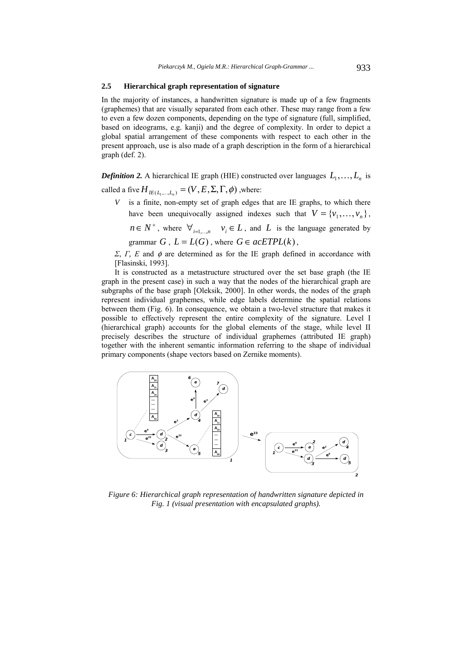## **2.5 Hierarchical graph representation of signature**

In the majority of instances, a handwritten signature is made up of a few fragments (graphemes) that are visually separated from each other. These may range from a few to even a few dozen components, depending on the type of signature (full, simplified, based on ideograms, e.g. kanji) and the degree of complexity. In order to depict a global spatial arrangement of these components with respect to each other in the present approach, use is also made of a graph description in the form of a hierarchical graph (def. 2).

*Definition 2.* A hierarchical IE graph (HIE) constructed over languages  $L_1, \ldots, L_n$  is

called a five  $H_{IE(L_1, \ldots, L_n)} = (V, E, \Sigma, \Gamma, \phi)$ , where:

*V* is a finite, non-empty set of graph edges that are IE graphs, to which there have been unequivocally assigned indexes such that  $V = \{v_1, \dots, v_n\}$ ,

 $n \in N^+$ , where  $\forall_{i=1,...,n}$   $v_i \in L$ , and *L* is the language generated by grammar  $G$ ,  $L = L(G)$ , where  $G \in acETPL(k)$ ,

*Σ*, *Γ, Ε* and φ are determined as for the IE graph defined in accordance with [Flasinski, 1993].

It is constructed as a metastructure structured over the set base graph (the IE graph in the present case) in such a way that the nodes of the hierarchical graph are subgraphs of the base graph [Oleksik, 2000]. In other words, the nodes of the graph represent individual graphemes, while edge labels determine the spatial relations between them (Fig. 6). In consequence, we obtain a two-level structure that makes it possible to effectively represent the entire complexity of the signature. Level I (hierarchical graph) accounts for the global elements of the stage, while level II precisely describes the structure of individual graphemes (attributed IE graph) together with the inherent semantic information referring to the shape of individual primary components (shape vectors based on Zernike moments).



*Figure 6: Hierarchical graph representation of handwritten signature depicted in Fig. 1 (visual presentation with encapsulated graphs).*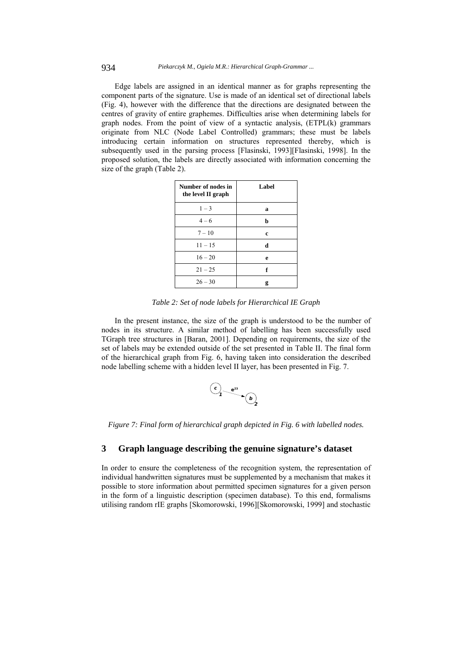Edge labels are assigned in an identical manner as for graphs representing the component parts of the signature. Use is made of an identical set of directional labels (Fig. 4), however with the difference that the directions are designated between the centres of gravity of entire graphemes. Difficulties arise when determining labels for graph nodes. From the point of view of a syntactic analysis, (ETPL(k) grammars originate from NLC (Node Label Controlled) grammars; these must be labels introducing certain information on structures represented thereby, which is subsequently used in the parsing process [Flasinski, 1993][Flasinski, 1998]. In the proposed solution, the labels are directly associated with information concerning the size of the graph (Table 2).

| Number of nodes in<br>the level II graph | Label |
|------------------------------------------|-------|
| $1 - 3$                                  | a     |
| $4 - 6$                                  | b     |
| $7 - 10$                                 | c     |
| $11 - 15$                                | d     |
| $16 - 20$                                | e     |
| $21 - 25$                                | f     |
| $26 - 30$                                | g     |

*Table 2: Set of node labels for Hierarchical IE Graph* 

In the present instance, the size of the graph is understood to be the number of nodes in its structure. A similar method of labelling has been successfully used TGraph tree structures in [Baran, 2001]. Depending on requirements, the size of the set of labels may be extended outside of the set presented in Table II. The final form of the hierarchical graph from Fig. 6, having taken into consideration the described node labelling scheme with a hidden level II layer, has been presented in Fig. 7.

$$
\begin{array}{c}\n\mathbf{c}_1 \\
\hline\n\mathbf{e}^{23} \\
\hline\n\mathbf{b}_2\n\end{array}
$$

*Figure 7: Final form of hierarchical graph depicted in Fig. 6 with labelled nodes.* 

# **3 Graph language describing the genuine signature's dataset**

In order to ensure the completeness of the recognition system, the representation of individual handwritten signatures must be supplemented by a mechanism that makes it possible to store information about permitted specimen signatures for a given person in the form of a linguistic description (specimen database). To this end, formalisms utilising random rIE graphs [Skomorowski, 1996][Skomorowski, 1999] and stochastic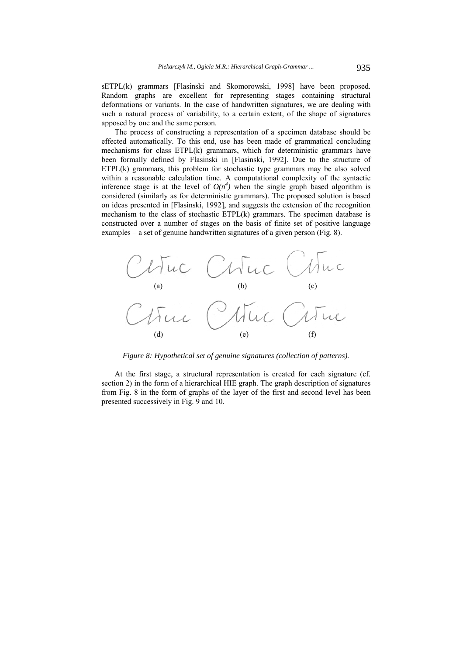sETPL(k) grammars [Flasinski and Skomorowski, 1998] have been proposed. Random graphs are excellent for representing stages containing structural deformations or variants. In the case of handwritten signatures, we are dealing with such a natural process of variability, to a certain extent, of the shape of signatures apposed by one and the same person.

The process of constructing a representation of a specimen database should be effected automatically. To this end, use has been made of grammatical concluding mechanisms for class ETPL(k) grammars, which for deterministic grammars have been formally defined by Flasinski in [Flasinski, 1992]. Due to the structure of ETPL(k) grammars, this problem for stochastic type grammars may be also solved within a reasonable calculation time. A computational complexity of the syntactic inference stage is at the level of  $O(n^4)$  when the single graph based algorithm is considered (similarly as for deterministic grammars). The proposed solution is based on ideas presented in [Flasinski, 1992], and suggests the extension of the recognition mechanism to the class of stochastic ETPL(k) grammars. The specimen database is constructed over a number of stages on the basis of finite set of positive language examples – a set of genuine handwritten signatures of a given person (Fig. 8).



*Figure 8: Hypothetical set of genuine signatures (collection of patterns).* 

At the first stage, a structural representation is created for each signature (cf. section 2) in the form of a hierarchical HIE graph. The graph description of signatures from Fig. 8 in the form of graphs of the layer of the first and second level has been presented successively in Fig. 9 and 10.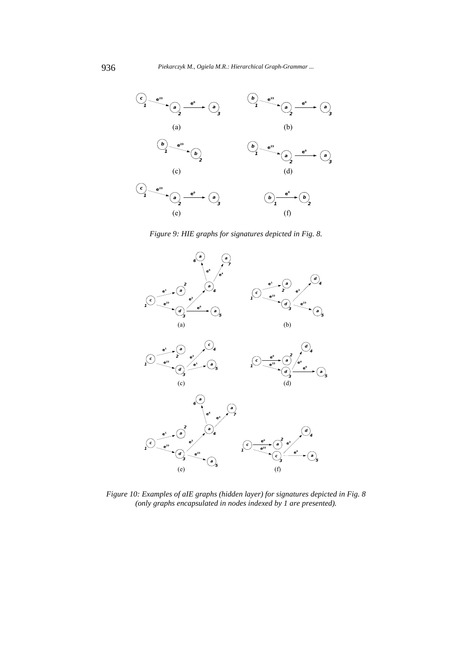

*Figure 9: HIE graphs for signatures depicted in Fig. 8.* 



*Figure 10: Examples of aIE graphs (hidden layer) for signatures depicted in Fig. 8 (only graphs encapsulated in nodes indexed by 1 are presented).*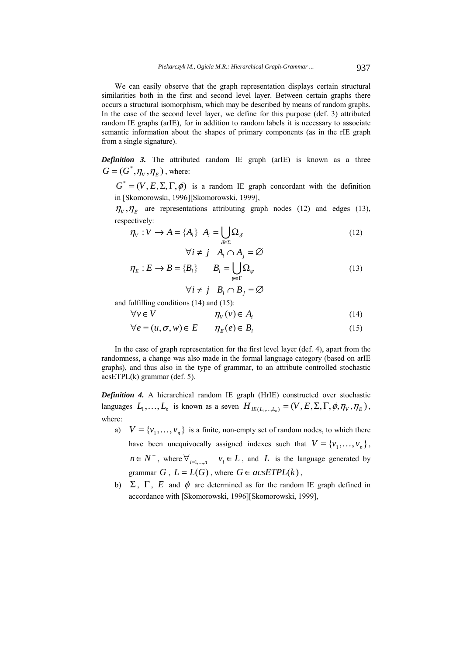We can easily observe that the graph representation displays certain structural similarities both in the first and second level layer. Between certain graphs there occurs a structural isomorphism, which may be described by means of random graphs. In the case of the second level layer, we define for this purpose (def. 3) attributed random IE graphs (arIE), for in addition to random labels it is necessary to associate semantic information about the shapes of primary components (as in the rIE graph from a single signature).

*Definition 3.* The attributed random IE graph (arIE) is known as a three  $G = (G^*, \eta_V, \eta_F)$ , where:

 $G^* = (V, E, \Sigma, \Gamma, \phi)$  is a random IE graph concordant with the definition in [Skomorowski, 1996][Skomorowski, 1999],

 $\eta_V$ ,  $\eta_E$  are representations attributing graph nodes (12) and edges (13), respectively:

$$
\eta_{V}: V \to A = \{A_{i}\} \quad A_{i} = \bigcup_{\delta \in \Sigma} \Omega_{\delta}
$$
\n
$$
\forall i \neq j \quad A_{i} \cap A_{i} = \varnothing
$$
\n(12)

$$
\eta_E : E \to B = \{B_i\} \qquad B_i = \bigcup_{\psi \in \Gamma} \Omega_{\psi} \tag{13}
$$

$$
\forall i \neq j \quad B_i \cap B_j = \varnothing
$$

and fulfilling conditions (14) and (15):

$$
\forall v \in V \qquad \eta_v(v) \in A_i \tag{14}
$$

$$
\forall e = (u, \sigma, w) \in E \qquad \eta_E(e) \in B_i \tag{15}
$$

In the case of graph representation for the first level layer (def. 4), apart from the randomness, a change was also made in the formal language category (based on arIE graphs), and thus also in the type of grammar, to an attribute controlled stochastic acsETPL(k) grammar (def. 5).

*Definition 4.* A hierarchical random IE graph (HrIE) constructed over stochastic languages  $L_1, \ldots, L_n$  is known as a seven  $H_{IE(L_1, \ldots, L_n)} = (V, E, \Sigma, \Gamma, \phi, \eta_V, \eta_E)$ , where:

- a)  $V = \{v_1, \dots, v_n\}$  is a finite, non-empty set of random nodes, to which there have been unequivocally assigned indexes such that  $V = \{v_1, \dots, v_n\}$ ,  $n \in N^+$ , where  $\forall_{i=1,\dots,n}$   $v_i \in L$ , and *L* is the language generated by grammar  $G$ ,  $L = L(G)$ , where  $G \in \text{acsETPL}(k)$ ,
- b)  $\Sigma$ ,  $\Gamma$ , *E* and  $\phi$  are determined as for the random IE graph defined in accordance with [Skomorowski, 1996][Skomorowski, 1999],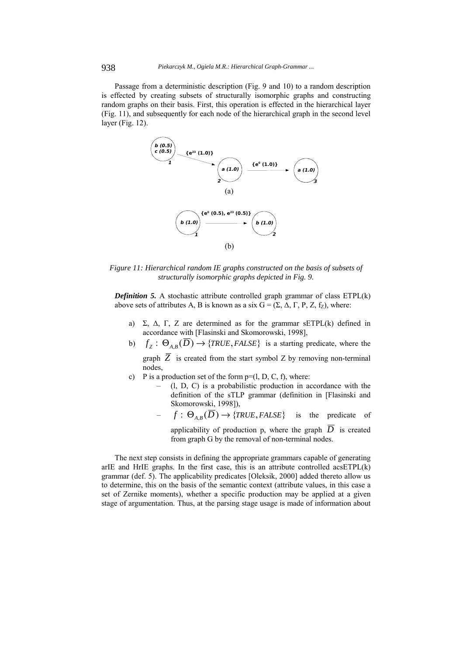Passage from a deterministic description (Fig. 9 and 10) to a random description is effected by creating subsets of structurally isomorphic graphs and constructing random graphs on their basis. First, this operation is effected in the hierarchical layer (Fig. 11), and subsequently for each node of the hierarchical graph in the second level layer (Fig. 12).



*Figure 11: Hierarchical random IE graphs constructed on the basis of subsets of structurally isomorphic graphs depicted in Fig. 9.* 

*Definition 5.* A stochastic attribute controlled graph grammar of class ETPL(k) above sets of attributes A, B is known as a six  $G = (\Sigma, \Delta, \Gamma, P, Z, f_z)$ , where:

- a) Σ, Δ, Γ, Z are determined as for the grammar sETPL(k) defined in accordance with [Flasinski and Skomorowski, 1998],
- b)  $f_Z : \Theta_{AB}(\overline{D}) \rightarrow \{TRUE, FALSE\}$  is a starting predicate, where the graph  $\overline{Z}$  is created from the start symbol Z by removing non-terminal nodes,
- c) P is a production set of the form  $p=(l, D, C, f)$ , where:
	- (l, D, C) is a probabilistic production in accordance with the definition of the sTLP grammar (definition in [Flasinski and Skomorowski, 1998]),
		- $f : \Theta_{AB}(\overline{D}) \rightarrow \{TRUE, FALSE\}$  is the predicate of applicability of production p, where the graph  $\overline{D}$  is created

from graph G by the removal of non-terminal nodes.

The next step consists in defining the appropriate grammars capable of generating arIE and HrIE graphs. In the first case, this is an attribute controlled  $\alpha$ cs $ETPL(k)$ grammar (def. 5). The applicability predicates [Oleksik, 2000] added thereto allow us to determine, this on the basis of the semantic context (attribute values, in this case a set of Zernike moments), whether a specific production may be applied at a given stage of argumentation. Thus, at the parsing stage usage is made of information about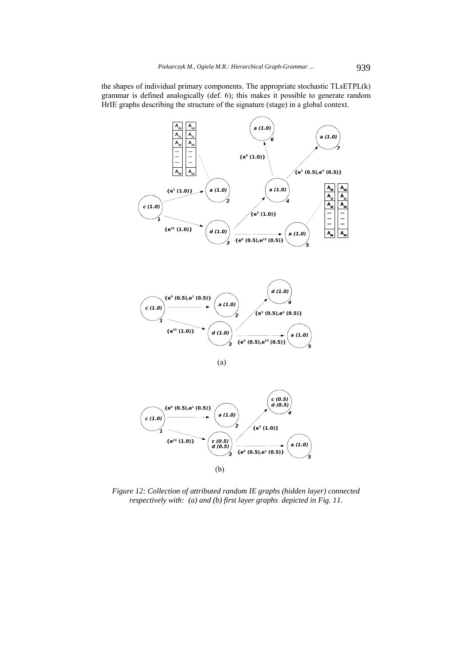the shapes of individual primary components. The appropriate stochastic TLsETPL(k) grammar is defined analogically (def. 6); this makes it possible to generate random HrIE graphs describing the structure of the signature (stage) in a global context.



(b) *1 2 c (0.5) d (0.5) 3* **{e23 (1.0)} {e3 (1.0)} {e0 (0.5),e1 (0.5)}** *a (1.0) 5*

*Figure 12: Collection of attributed random IE graphs (hidden layer) connected respectively with: (a) and (b) first layer graphs depicted in Fig. 11.*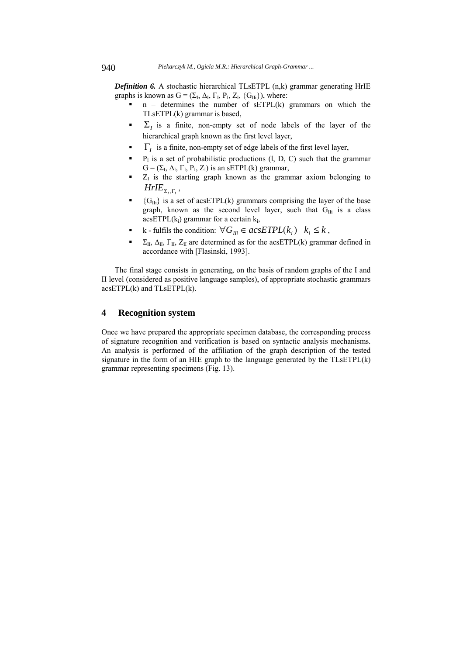*Definition 6.* A stochastic hierarchical TLsETPL (n,k) grammar generating HrIE graphs is known as  $G = (\Sigma_I, \Delta_I, \Gamma_I, P_I, Z_I, \{G_{IIi}\})$ , where:

- $n -$  determines the number of sETPL $(k)$  grammars on which the TLsETPL(k) grammar is based,
- $\Sigma$ <sub>*I*</sub> is a finite, non-empty set of node labels of the layer of the hierarchical graph known as the first level layer,
- Γ*I* is a finite, non-empty set of edge labels of the first level layer,
- $P<sub>I</sub>$  is a set of probabilistic productions (l, D, C) such that the grammar  $G = (\Sigma_I, \Delta_I, \Gamma_I, P_I, Z_I)$  is an sETPL(k) grammar,
- $Z<sub>I</sub>$  is the starting graph known as the grammar axiom belonging to  $HrI E_{\Sigma_L,\Gamma_L}$ ,
- ${G_{\text{Hi}}}$  is a set of acsETPL(k) grammars comprising the layer of the base graph, known as the second level layer, such that  $G_{\text{Ili}}$  is a class  $acsETPL(k<sub>i</sub>) grammar for a certain k<sub>i</sub>,$
- k fulfils the condition:  $\forall G_{ij} \in acsETPL(k_i)$   $k_i \leq k$ ,
- $\Sigma_{II}$ ,  $\Delta_{II}$ ,  $\Gamma_{II}$ ,  $Z_{II}$  are determined as for the acsETPL(k) grammar defined in accordance with [Flasinski, 1993].

The final stage consists in generating, on the basis of random graphs of the I and II level (considered as positive language samples), of appropriate stochastic grammars  $acsETPL(k)$  and  $TLSETPL(k)$ .

# **4 Recognition system**

Once we have prepared the appropriate specimen database, the corresponding process of signature recognition and verification is based on syntactic analysis mechanisms. An analysis is performed of the affiliation of the graph description of the tested signature in the form of an HIE graph to the language generated by the TLsETPL(k) grammar representing specimens (Fig. 13).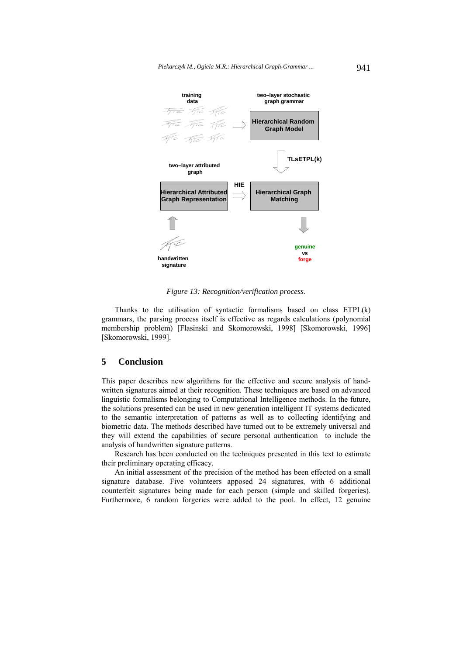

*Figure 13: Recognition/verification process.* 

Thanks to the utilisation of syntactic formalisms based on class ETPL(k) grammars, the parsing process itself is effective as regards calculations (polynomial membership problem) [Flasinski and Skomorowski, 1998] [Skomorowski, 1996] [Skomorowski, 1999].

# **5 Conclusion**

This paper describes new algorithms for the effective and secure analysis of handwritten signatures aimed at their recognition. These techniques are based on advanced linguistic formalisms belonging to Computational Intelligence methods. In the future, the solutions presented can be used in new generation intelligent IT systems dedicated to the semantic interpretation of patterns as well as to collecting identifying and biometric data. The methods described have turned out to be extremely universal and they will extend the capabilities of secure personal authentication to include the analysis of handwritten signature patterns.

Research has been conducted on the techniques presented in this text to estimate their preliminary operating efficacy.

An initial assessment of the precision of the method has been effected on a small signature database. Five volunteers apposed 24 signatures, with 6 additional counterfeit signatures being made for each person (simple and skilled forgeries). Furthermore, 6 random forgeries were added to the pool. In effect, 12 genuine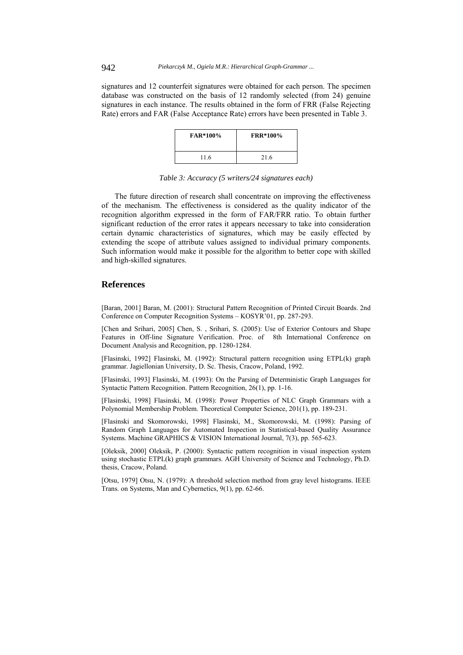signatures and 12 counterfeit signatures were obtained for each person. The specimen database was constructed on the basis of 12 randomly selected (from 24) genuine signatures in each instance. The results obtained in the form of FRR (False Rejecting Rate) errors and FAR (False Acceptance Rate) errors have been presented in Table 3.

| <b>FAR*100%</b> | <b>FRR*100%</b> |
|-----------------|-----------------|
| 11.6            | 21.6            |

| Table 3: Accuracy (5 writers/24 signatures each) |  |
|--------------------------------------------------|--|
|--------------------------------------------------|--|

The future direction of research shall concentrate on improving the effectiveness of the mechanism. The effectiveness is considered as the quality indicator of the recognition algorithm expressed in the form of FAR/FRR ratio. To obtain further significant reduction of the error rates it appears necessary to take into consideration certain dynamic characteristics of signatures, which may be easily effected by extending the scope of attribute values assigned to individual primary components. Such information would make it possible for the algorithm to better cope with skilled and high-skilled signatures.

# **References**

[Baran, 2001] Baran, M. (2001): Structural Pattern Recognition of Printed Circuit Boards. 2nd Conference on Computer Recognition Systems – KOSYR'01, pp. 287-293.

[Chen and Srihari, 2005] Chen, S., Srihari, S. (2005): Use of Exterior Contours and Shape Features in Off-line Signature Verification. Proc. of 8th International Conference on Document Analysis and Recognition, pp. 1280-1284.

[Flasinski, 1992] Flasinski, M. (1992): Structural pattern recognition using ETPL(k) graph grammar. Jagiellonian University, D. Sc. Thesis, Cracow, Poland, 1992.

[Flasinski, 1993] Flasinski, M. (1993): On the Parsing of Deterministic Graph Languages for Syntactic Pattern Recognition. Pattern Recognition, 26(1), pp. 1-16.

[Flasinski, 1998] Flasinski, M. (1998): Power Properties of NLC Graph Grammars with a Polynomial Membership Problem. Theoretical Computer Science, 201(1), pp. 189-231.

[Flasinski and Skomorowski, 1998] Flasinski, M., Skomorowski, M. (1998): Parsing of Random Graph Languages for Automated Inspection in Statistical-based Quality Assurance Systems. Machine GRAPHICS & VISION International Journal, 7(3), pp. 565-623.

[Oleksik, 2000] Oleksik, P. (2000): Syntactic pattern recognition in visual inspection system using stochastic ETPL(k) graph grammars. AGH University of Science and Technology, Ph.D. thesis, Cracow, Poland.

[Otsu, 1979] Otsu, N. (1979): A threshold selection method from gray level histograms. IEEE Trans. on Systems, Man and Cybernetics, 9(1), pp. 62-66.